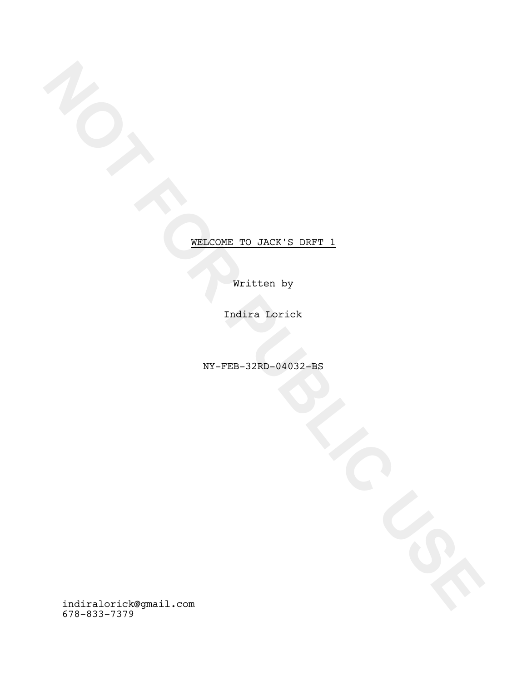Written by

Indira Lorick

NY-FEB-32RD-04032-BS

WELCOME\_TO\_JACK'S\_DRFT\_1<br>
WELCOME\_TO\_JACK'S\_DRFT\_1<br>
WELCOME\_TO\_JACK'S\_DRFT\_1<br>
WELFED -32RD-94032-BS<br>
WELFED - 2002<br>
WELFED - 2002<br>
WELFED - 2002<br>
WELFED - 2002<br>
WELFED - 2002<br>
WELFED - 2002<br>
WELFED - 2002<br>
WELFED - 2002<br>
W indiralorick@gmail.com 678-833-7379